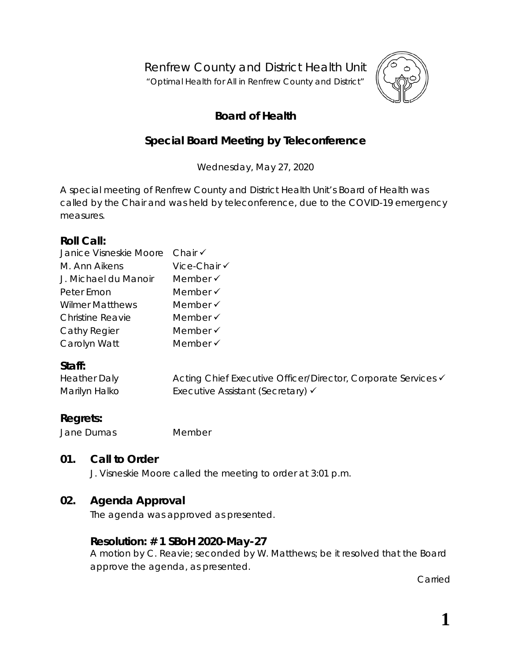Renfrew County and District Health Unit

"*Optimal Health for All in Renfrew County and District"*



# **Board of Health**

# **Special Board Meeting by Teleconference**

Wednesday, May 27, 2020

A special meeting of Renfrew County and District Health Unit's Board of Health was called by the Chair and was held by teleconference, due to the COVID-19 emergency measures.

## **Roll Call:**

| Janice Visneskie Moore Chair V |                     |
|--------------------------------|---------------------|
| M. Ann Aikens                  | Vice-Chair √        |
| J. Michael du Manoir           | Member $\checkmark$ |
| Peter Emon                     | Member $\checkmark$ |
| <b>Wilmer Matthews</b>         | Member $\checkmark$ |
| <b>Christine Reavie</b>        | Member $\checkmark$ |
| Cathy Regier                   | Member $\checkmark$ |
| Carolyn Watt                   | Member $\checkmark$ |

## **Staff:**

| <b>Heather Daly</b> | Acting Chief Executive Officer/Director, Corporate Services v |
|---------------------|---------------------------------------------------------------|
| Marilyn Halko       | Executive Assistant (Secretary) $\checkmark$                  |

## **Regrets:**

Jane Dumas Member

## **01. Call to Order**

J. Visneskie Moore called the meeting to order at 3:01 p.m.

## **02. Agenda Approval**

The agenda was approved as presented.

## **Resolution: # 1 SBoH 2020-May-27**

A motion by C. Reavie; seconded by W. Matthews; be it resolved that the Board approve the agenda, as presented.

Carried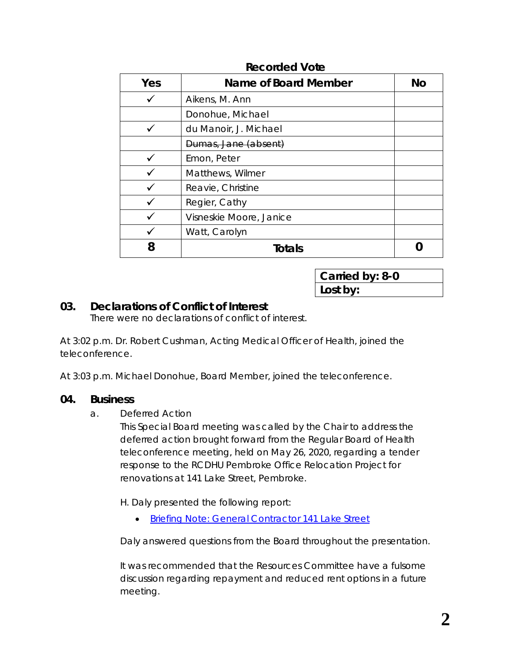| Yes | <b>Name of Board Member</b> | <b>No</b> |
|-----|-----------------------------|-----------|
|     | Aikens, M. Ann              |           |
|     | Donohue, Michael            |           |
|     | du Manoir, J. Michael       |           |
|     | Dumas, Jane (absent)        |           |
|     | Emon, Peter                 |           |
|     | Matthews, Wilmer            |           |
|     | Reavie, Christine           |           |
|     | Regier, Cathy               |           |
|     | Visneskie Moore, Janice     |           |
|     | Watt, Carolyn               |           |
| 8   | <b>Totals</b>               |           |

#### **Recorded Vote**

**Carried by: 8-0 Lost by:**

## **03. Declarations of Conflict of Interest**

There were no declarations of conflict of interest.

At 3:02 p.m. Dr. Robert Cushman, Acting Medical Officer of Health, joined the teleconference.

At 3:03 p.m. Michael Donohue, Board Member, joined the teleconference.

#### **04. Business**

a. Deferred Action

This Special Board meeting was called by the Chair to address the deferred action brought forward from the Regular Board of Health teleconference meeting, held on May 26, 2020, regarding a tender response to the RCDHU Pembroke Office Relocation Project for renovations at 141 Lake Street, Pembroke.

H. Daly presented the following report:

• [Briefing Note: General Contractor 141 Lake Street](https://www.rcdhu.com/wp-content/uploads/2020/12/Briefing-Note-General-Contractor-2020-May-27.pdf)

Daly answered questions from the Board throughout the presentation.

It was recommended that the Resources Committee have a fulsome discussion regarding repayment and reduced rent options in a future meeting.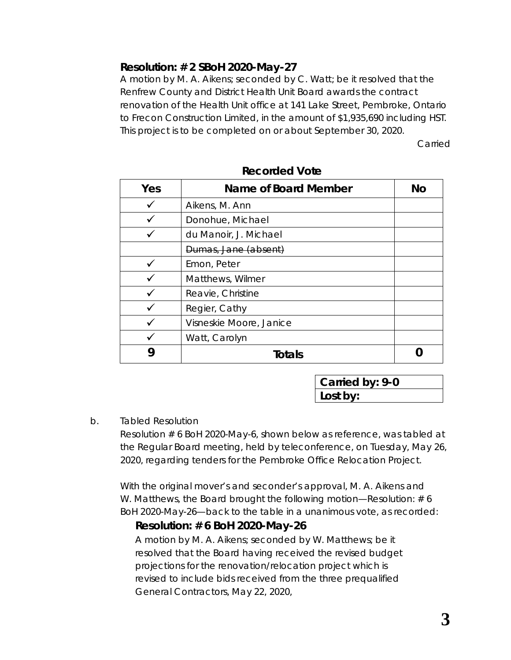## **Resolution: # 2 SBoH 2020-May-27**

A motion by M. A. Aikens; seconded by C. Watt; be it resolved that the Renfrew County and District Health Unit Board awards the contract renovation of the Health Unit office at 141 Lake Street, Pembroke, Ontario to Frecon Construction Limited, in the amount of \$1,935,690 including HST. This project is to be completed on or about September 30, 2020.

Carried

| Yes | Name of Board Member    | Νo |
|-----|-------------------------|----|
|     | Aikens, M. Ann          |    |
|     | Donohue, Michael        |    |
|     | du Manoir, J. Michael   |    |
|     | Dumas, Jane (absent)    |    |
|     | Emon, Peter             |    |
|     | Matthews, Wilmer        |    |
|     | Reavie, Christine       |    |
|     | Regier, Cathy           |    |
|     | Visneskie Moore, Janice |    |
|     | Watt, Carolyn           |    |
|     | Totals                  |    |

**Recorded Vote**

**Carried by: 9-0 Lost by:**

#### b. Tabled Resolution

Resolution # 6 BoH 2020-May-6, shown below as reference, was tabled at the Regular Board meeting, held by teleconference, on Tuesday, May 26, 2020, regarding tenders for the Pembroke Office Relocation Project.

With the original mover's and seconder's approval, M. A. Aikens and W. Matthews, the Board brought the following motion—*Resolution: # 6 BoH 2020-May-26*—back to the table in a unanimous vote, as recorded:

## *Resolution: # 6 BoH 2020-May-26*

*A motion by M. A. Aikens; seconded by W. Matthews; be it resolved that the Board having received the revised budget projections for the renovation/relocation project which is revised to include bids received from the three prequalified General Contractors, May 22, 2020,*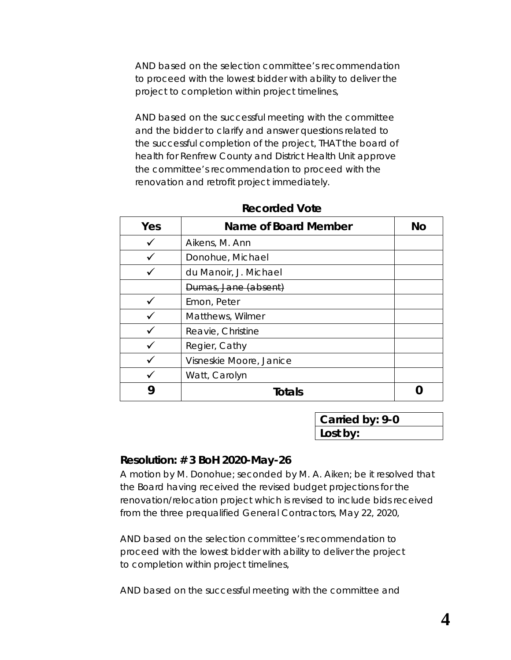*AND based on the selection committee's recommendation to proceed with the lowest bidder with ability to deliver the project to completion within project timelines,* 

*AND based on the successful meeting with the committee and the bidder to clarify and answer questions related to the successful completion of the project, THAT the board of health for Renfrew County and District Health Unit approve the committee's recommendation to proceed with the renovation and retrofit project immediately.*

| Yes | <b>Name of Board Member</b> | No |
|-----|-----------------------------|----|
|     | Aikens, M. Ann              |    |
|     | Donohue, Michael            |    |
|     | du Manoir, J. Michael       |    |
|     | Dumas, Jane (absent)        |    |
|     | Emon, Peter                 |    |
|     | Matthews, Wilmer            |    |
|     | Reavie, Christine           |    |
|     | Regier, Cathy               |    |
|     | Visneskie Moore, Janice     |    |
|     | Watt, Carolyn               |    |
|     | <b>Totals</b>               |    |

| <b>Recorded Vote</b> |  |
|----------------------|--|
|----------------------|--|

**Carried by: 9-0 Lost by:**

#### **Resolution: # 3 BoH 2020-May-26**

A motion by M. Donohue; seconded by M. A. Aiken; be it resolved that the Board having received the revised budget projections for the renovation/relocation project which is revised to include bids received from the three prequalified General Contractors, May 22, 2020,

AND based on the selection committee's recommendation to proceed with the lowest bidder with ability to deliver the project to completion within project timelines,

AND based on the successful meeting with the committee and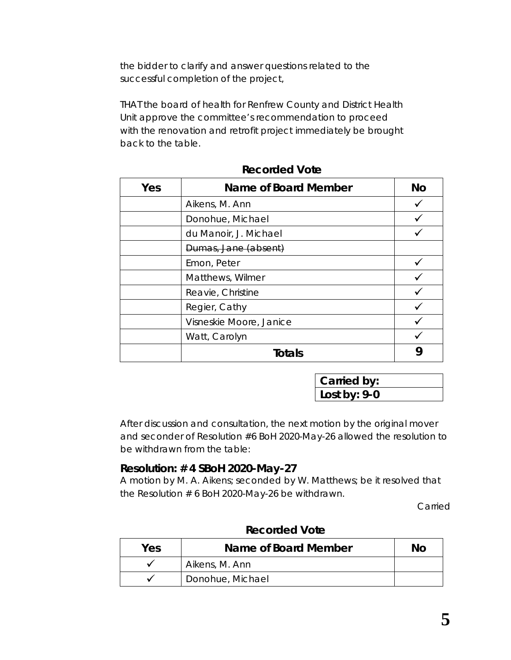the bidder to clarify and answer questions related to the successful completion of the project,

THAT the board of health for Renfrew County and District Health Unit approve the committee's recommendation to proceed with the renovation and retrofit project immediately be brought back to the table.

| Yes | Name of Board Member    | <b>No</b> |
|-----|-------------------------|-----------|
|     | Aikens, M. Ann          |           |
|     | Donohue, Michael        |           |
|     | du Manoir, J. Michael   |           |
|     | Dumas, Jane (absent)    |           |
|     | Emon, Peter             |           |
|     | Matthews, Wilmer        |           |
|     | Reavie, Christine       |           |
|     | Regier, Cathy           |           |
|     | Visneskie Moore, Janice |           |
|     | Watt, Carolyn           |           |
|     | Totals                  |           |

| <b>Recorded Vote</b> |  |
|----------------------|--|
|----------------------|--|

**Carried by: Lost by: 9-0**

After discussion and consultation, the next motion by the original mover and seconder of Resolution #6 BoH 2020-May-26 allowed the resolution to be withdrawn from the table:

#### **Resolution: # 4 SBoH 2020-May-27**

A motion by M. A. Aikens; seconded by W. Matthews; be it resolved that the Resolution # 6 BoH 2020-May-26 be withdrawn.

Carried

| Yes | Name of Board Member | No. |
|-----|----------------------|-----|
|     | Aikens, M. Ann       |     |
|     | Donohue, Michael     |     |

#### **Recorded Vote**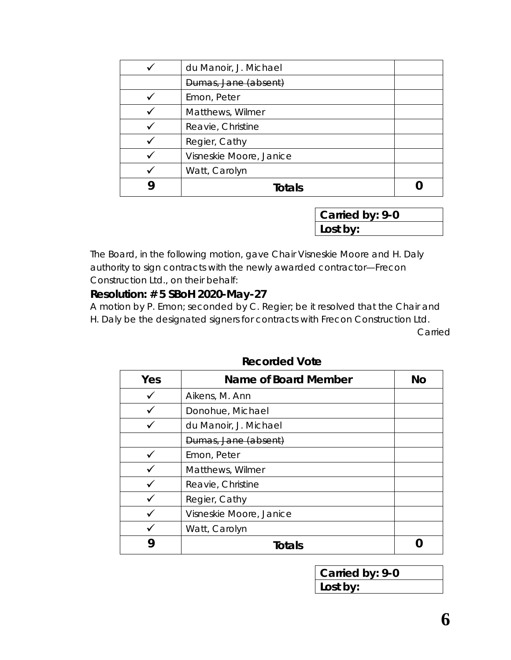| du Manoir, J. Michael   |  |
|-------------------------|--|
| Dumas, Jane (absent)    |  |
| Emon, Peter             |  |
| Matthews, Wilmer        |  |
| Reavie, Christine       |  |
| Regier, Cathy           |  |
| Visneskie Moore, Janice |  |
| Watt, Carolyn           |  |
| Totals                  |  |

**Carried by: 9-0 Lost by:**

The Board, in the following motion, gave Chair Visneskie Moore and H. Daly authority to sign contracts with the newly awarded contractor—Frecon Construction Ltd., on their behalf:

#### **Resolution: # 5 SBoH 2020-May-27**

A motion by P. Emon; seconded by C. Regier; be it resolved that the Chair and H. Daly be the designated signers for contracts with Frecon Construction Ltd.

Carried

| Yes | Name of Board Member    | <b>No</b> |
|-----|-------------------------|-----------|
|     | Aikens, M. Ann          |           |
|     | Donohue, Michael        |           |
|     | du Manoir, J. Michael   |           |
|     | Dumas, Jane (absent)    |           |
|     | Emon, Peter             |           |
|     | Matthews, Wilmer        |           |
|     | Reavie, Christine       |           |
|     | Regier, Cathy           |           |
|     | Visneskie Moore, Janice |           |
|     | Watt, Carolyn           |           |
| y   | <b>Totals</b>           |           |

**Recorded Vote**

**Carried by: 9-0 Lost by:**